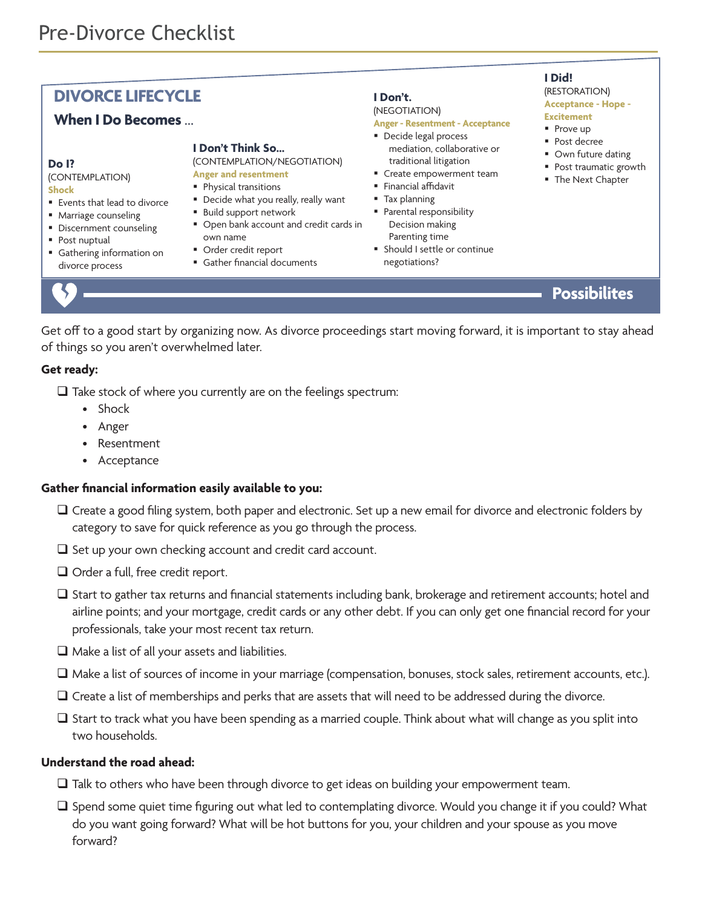## **DIVORCE LIFECYCLE**

## **When I Do Becomes** …

#### **Do I?**

(CONTEMPLATION) **Shock**

- Events that lead to divorce
- Marriage counseling
- § Discernment counseling
- Post nuptual
- Gathering information on divorce process

# **I Don't Think So…**

(CONTEMPLATION/NEGOTIATION) **Anger and resentment**

- § Physical transitions
- Decide what you really, really want
- Build support network
- Open bank account and credit cards in own name
- Order credit report
- Gather financial documents

#### **I Don't.**

#### (NEGOTIATION) **Anger - Resentment - Acceptance**

- Decide legal process
- mediation, collaborative or traditional litigation
- Create empowerment team
- Financial affidavit
- § Tax planning
- § Parental responsibility Decision making
- Parenting time § Should I settle or continue negotiations?

## **I Did!**

(RESTORATION) **Acceptance - Hope - Excitement**

- Prove up
- Post decree
- Own future dating
- 
- Post traumatic growth
- The Next Chapter

# **Possibilites**

Get off to a good start by organizing now. As divorce proceedings start moving forward, it is important to stay ahead of things so you aren't overwhelmed later.

#### **Get ready:**

- $\Box$  Take stock of where you currently are on the feelings spectrum:
	- Shock
	- Anger
	- Resentment
	- Acceptance

#### **Gather financial information easily available to you:**

- $\Box$  Create a good filing system, both paper and electronic. Set up a new email for divorce and electronic folders by category to save for quick reference as you go through the process.
- $\Box$  Set up your own checking account and credit card account.
- $\Box$  Order a full, free credit report.
- $\square$  Start to gather tax returns and financial statements including bank, brokerage and retirement accounts; hotel and airline points; and your mortgage, credit cards or any other debt. If you can only get one financial record for your professionals, take your most recent tax return.
- $\Box$  Make a list of all your assets and liabilities.
- $\Box$  Make a list of sources of income in your marriage (compensation, bonuses, stock sales, retirement accounts, etc.).
- $\Box$  Create a list of memberships and perks that are assets that will need to be addressed during the divorce.
- $\square$  Start to track what you have been spending as a married couple. Think about what will change as you split into two households.

#### **Understand the road ahead:**

- $\square$  Talk to others who have been through divorce to get ideas on building your empowerment team.
- $\square$  Spend some quiet time figuring out what led to contemplating divorce. Would you change it if you could? What do you want going forward? What will be hot buttons for you, your children and your spouse as you move forward?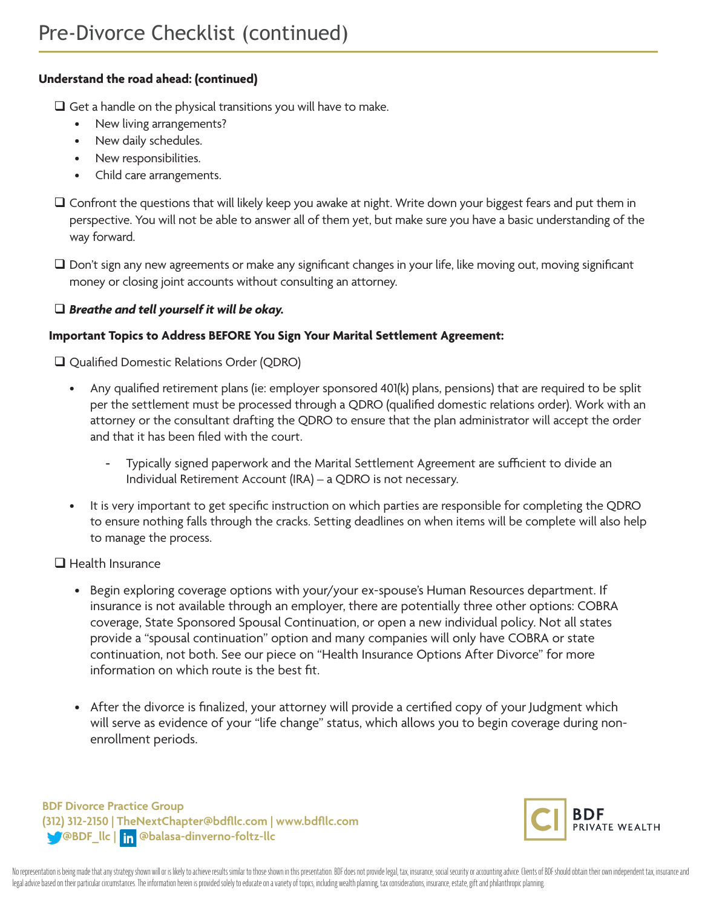### **Understand the road ahead: (continued)**

 $\Box$  Get a handle on the physical transitions you will have to make.

- New living arrangements?
- New daily schedules.
- New responsibilities.
- Child care arrangements.
- $\square$  Confront the questions that will likely keep you awake at night. Write down your biggest fears and put them in perspective. You will not be able to answer all of them yet, but make sure you have a basic understanding of the way forward.
- $\square$  Don't sign any new agreements or make any significant changes in your life, like moving out, moving significant money or closing joint accounts without consulting an attorney.

#### q *Breathe and tell yourself it will be okay.*

#### **Important Topics to Address BEFORE You Sign Your Marital Settlement Agreement:**

□ Qualified Domestic Relations Order (QDRO)

- Any qualified retirement plans (ie: employer sponsored 401(k) plans, pensions) that are required to be split per the settlement must be processed through a QDRO (qualified domestic relations order). Work with an attorney or the consultant drafting the QDRO to ensure that the plan administrator will accept the order and that it has been filed with the court.
	- Typically signed paperwork and the Marital Settlement Agreement are sufficient to divide an Individual Retirement Account (IRA) – a QDRO is not necessary.
- It is very important to get specific instruction on which parties are responsible for completing the QDRO to ensure nothing falls through the cracks. Setting deadlines on when items will be complete will also help to manage the process.

#### $\Box$  Health Insurance

- Begin exploring coverage options with your/your ex-spouse's Human Resources department. If insurance is not available through an employer, there are potentially three other options: COBRA coverage, State Sponsored Spousal Continuation, or open a new individual policy. Not all states provide a "spousal continuation" option and many companies will only have COBRA or state continuation, not both. See our piece on "Health Insurance Options After Divorce" for more information on which route is the best fit.
- After the divorce is finalized, your attorney will provide a certified copy of your Judgment which will serve as evidence of your "life change" status, which allows you to begin coverage during nonenrollment periods.

**BDF Divorce Practice Group (312) 312-2150 | TheNextChapter@bdfllc.com | www.bdfllc.com @BDF\_llc | @balasa-dinverno-foltz-llc**

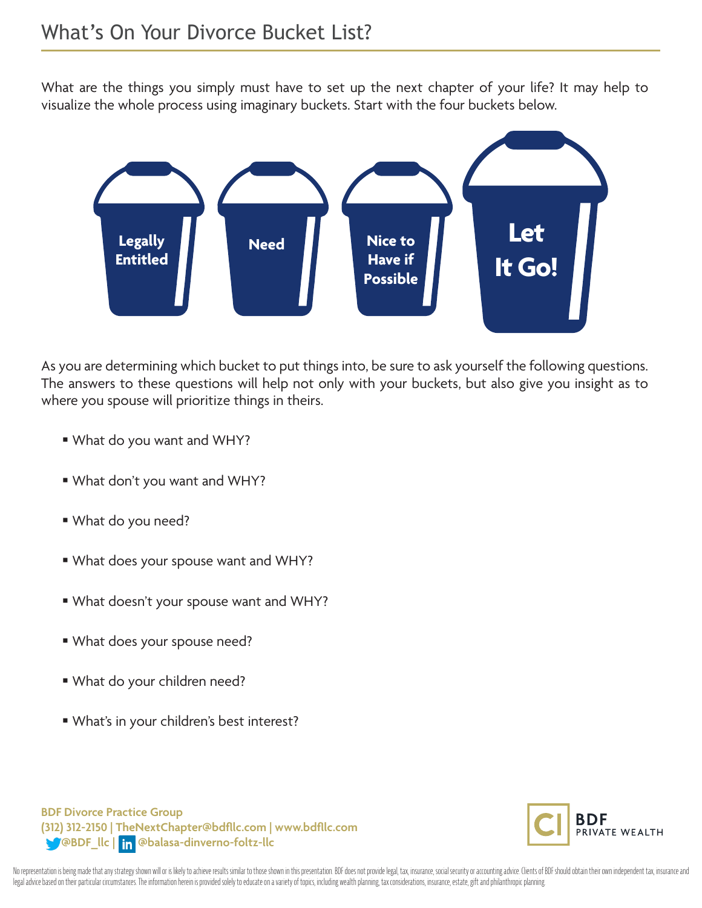What are the things you simply must have to set up the next chapter of your life? It may help to visualize the whole process using imaginary buckets. Start with the four buckets below.



As you are determining which bucket to put things into, be sure to ask yourself the following questions. The answers to these questions will help not only with your buckets, but also give you insight as to where you spouse will prioritize things in theirs.

- § What do you want and WHY?
- § What don't you want and WHY?
- § What do you need?
- § What does your spouse want and WHY?
- § What doesn't your spouse want and WHY?
- § What does your spouse need?
- § What do your children need?
- § What's in your children's best interest?

**BDF Divorce Practice Group (312) 312-2150 | TheNextChapter@bdfllc.com | www.bdfllc.com @BDF\_llc | @balasa-dinverno-foltz-llc**



No representation is being made that any strategy shown will or is likely to achieve results similar to those shown in this presentation. BDF does not provide legal, tax, insurance, social security or accounting advice. Cl legal advice based on their particular circumstances. The information herein is provided solely to educate on a variety of topics, including wealth planning, tax considerations, insurance, estate, gift and philanthropic pl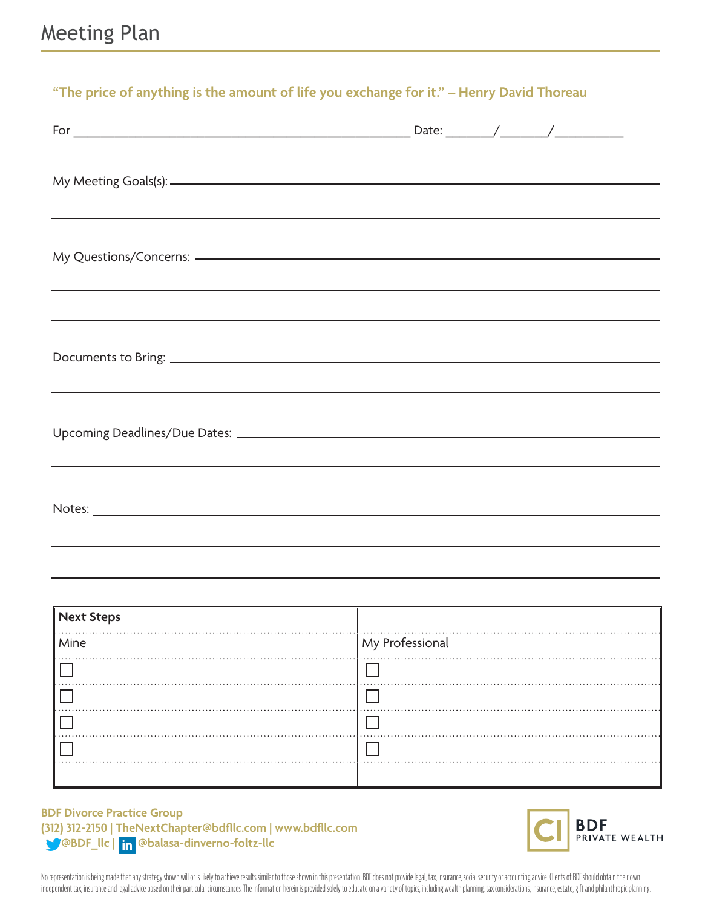| "The price of anything is the amount of life you exchange for it." - Henry David Thoreau |                                                                                                                        |  |  |  |
|------------------------------------------------------------------------------------------|------------------------------------------------------------------------------------------------------------------------|--|--|--|
|                                                                                          |                                                                                                                        |  |  |  |
|                                                                                          |                                                                                                                        |  |  |  |
|                                                                                          |                                                                                                                        |  |  |  |
|                                                                                          | <u> 1989 - Andrea Santana, amerikana amerikana amerikana amerikana amerikana amerikana amerikana amerikana amerika</u> |  |  |  |
|                                                                                          | <u> 2002 - Jan Barat de Barat de la contrada de la contrada de la contrada de la contrada de la contrada de la c</u>   |  |  |  |
|                                                                                          |                                                                                                                        |  |  |  |
|                                                                                          |                                                                                                                        |  |  |  |
|                                                                                          | <u> 1989 - Andrea Andrew Maria (h. 1989).</u>                                                                          |  |  |  |

| Next Steps |                 |
|------------|-----------------|
| Mine       | My Professional |
|            |                 |
|            |                 |
|            |                 |
|            |                 |
|            |                 |

#### **BDF Divorce Practice Group (312) 312-2150 | TheNextChapter@bdfllc.com | www.bdfllc.com @BDF\_llc | @balasa-dinverno-foltz-llc**



No representation is being made that any strategy shown will or is likely to achieve results similar to those shown in this presentation. BDF does not provide legal, tax, insurance, social security or accounting advice. Cl independent tax, insurance and legal advice based on their particular circumstances. The information herein is provided solely to educate on a variety of topics, including wealth planning, tax considerations, insurance, es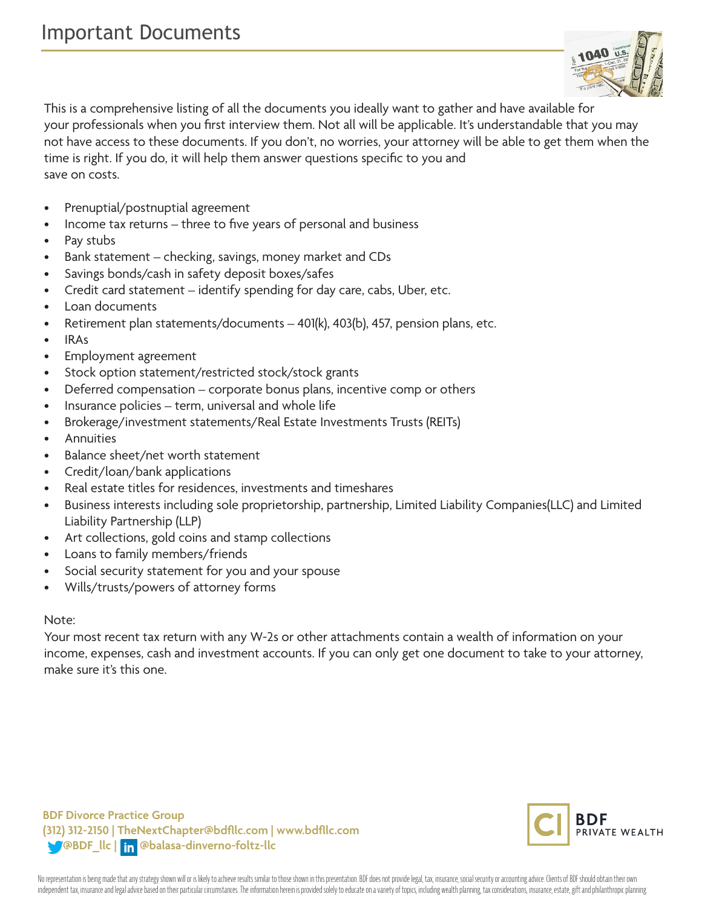

This is a comprehensive listing of all the documents you ideally want to gather and have available for your professionals when you first interview them. Not all will be applicable. It's understandable that you may not have access to these documents. If you don't, no worries, your attorney will be able to get them when the time is right. If you do, it will help them answer questions specific to you and save on costs.

- Prenuptial/postnuptial agreement
- Income tax returns three to five years of personal and business
- Pay stubs
- Bank statement checking, savings, money market and CDs
- Savings bonds/cash in safety deposit boxes/safes
- Credit card statement identify spending for day care, cabs, Uber, etc.
- Loan documents
- Retirement plan statements/documents 401(k), 403(b), 457, pension plans, etc.
- IRAs
- Employment agreement
- Stock option statement/restricted stock/stock grants
- Deferred compensation corporate bonus plans, incentive comp or others
- Insurance policies term, universal and whole life
- Brokerage/investment statements/Real Estate Investments Trusts (REITs)
- Annuities
- Balance sheet/net worth statement
- Credit/loan/bank applications
- Real estate titles for residences, investments and timeshares
- Business interests including sole proprietorship, partnership, Limited Liability Companies(LLC) and Limited Liability Partnership (LLP)
- Art collections, gold coins and stamp collections
- Loans to family members/friends
- Social security statement for you and your spouse
- Wills/trusts/powers of attorney forms

#### Note:

Your most recent tax return with any W-2s or other attachments contain a wealth of information on your income, expenses, cash and investment accounts. If you can only get one document to take to your attorney, make sure it's this one.

**BDF Divorce Practice Group (312) 312-2150 | TheNextChapter@bdfllc.com | www.bdfllc.com @BDF\_llc | @balasa-dinverno-foltz-llc**



No representation is being made that any strategy shown will or is likely to achieve results similar to those shown in this presentation. BDF does not provide legal, tax, insurance, social security or accounting advice. Cl independent tax, insurance and legal advice based on their particular circumstances. The information herein is provided solely to educate on a variety of topics, including wealth planning, tax considerations, insurance, es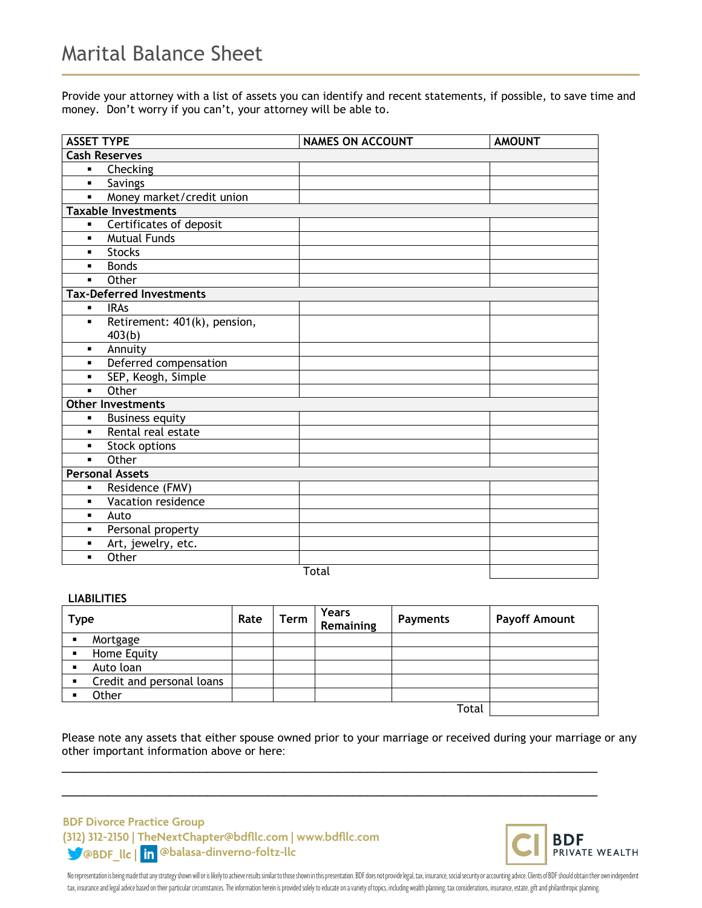Provide your attorney with a list of assets you can identify and recent statements, if possible, to save time and money. Don't worry if you can't, your attorney will be able to.

| <b>ASSET TYPE</b>    |                                 | <b>NAMES ON ACCOUNT</b> | <b>AMOUNT</b> |  |  |
|----------------------|---------------------------------|-------------------------|---------------|--|--|
| <b>Cash Reserves</b> |                                 |                         |               |  |  |
| ٠                    | Checking                        |                         |               |  |  |
| $\blacksquare$       | <b>Savings</b>                  |                         |               |  |  |
| $\blacksquare$       | Money market/credit union       |                         |               |  |  |
|                      | <b>Taxable Investments</b>      |                         |               |  |  |
| ٠                    | Certificates of deposit         |                         |               |  |  |
| $\blacksquare$       | <b>Mutual Funds</b>             |                         |               |  |  |
| ٠                    | <b>Stocks</b>                   |                         |               |  |  |
| $\blacksquare$       | <b>Bonds</b>                    |                         |               |  |  |
| $\blacksquare$       | Other                           |                         |               |  |  |
|                      | <b>Tax-Deferred Investments</b> |                         |               |  |  |
| ٠                    | <b>IRAs</b>                     |                         |               |  |  |
| ٠                    | Retirement: 401(k), pension,    |                         |               |  |  |
|                      | 403(b)                          |                         |               |  |  |
| ٠                    | Annuity                         |                         |               |  |  |
|                      | Deferred compensation           |                         |               |  |  |
| $\blacksquare$       | SEP, Keogh, Simple              |                         |               |  |  |
| $\blacksquare$       | Other                           |                         |               |  |  |
|                      | <b>Other Investments</b>        |                         |               |  |  |
| ٠                    | <b>Business equity</b>          |                         |               |  |  |
| ٠                    | Rental real estate              |                         |               |  |  |
|                      | Stock options                   |                         |               |  |  |
| $\blacksquare$       | Other                           |                         |               |  |  |
|                      | <b>Personal Assets</b>          |                         |               |  |  |
| ٠                    | Residence (FMV)                 |                         |               |  |  |
| ٠                    | Vacation residence              |                         |               |  |  |
|                      | Auto                            |                         |               |  |  |
| ٠                    | Personal property               |                         |               |  |  |
| ٠                    | Art, jewelry, etc.              |                         |               |  |  |
| ٠                    | Other                           |                         |               |  |  |
|                      |                                 | $T_{n+1}$               |               |  |  |

Total

#### **LIABILITIES**

| <b>Type</b>                                 | Rate | Term | <b>Years</b><br>Remaining | <b>Payments</b> | <b>Payoff Amount</b> |
|---------------------------------------------|------|------|---------------------------|-----------------|----------------------|
| Mortgage                                    |      |      |                           |                 |                      |
| Home Equity                                 |      |      |                           |                 |                      |
| Auto loan                                   |      |      |                           |                 |                      |
| Credit and personal loans<br>$\blacksquare$ |      |      |                           |                 |                      |
| Other                                       |      |      |                           |                 |                      |
|                                             |      |      |                           | Total           |                      |

\_\_\_\_\_\_\_\_\_\_\_\_\_\_\_\_\_\_\_\_\_\_\_\_\_\_\_\_\_\_\_\_\_\_\_\_\_\_\_\_\_\_\_\_\_\_\_\_\_\_\_\_\_\_\_\_\_\_\_\_\_\_\_\_\_\_\_\_\_\_

\_\_\_\_\_\_\_\_\_\_\_\_\_\_\_\_\_\_\_\_\_\_\_\_\_\_\_\_\_\_\_\_\_\_\_\_\_\_\_\_\_\_\_\_\_\_\_\_\_\_\_\_\_\_\_\_\_\_\_\_\_\_\_\_\_\_\_\_\_\_

Please note any assets that either spouse owned prior to your marriage or received during your marriage or any other important information above or here:

#### **BDF Divorce Practice Group (312) 312-2150 | TheNextChapter@bdfllc.com | www.bdfllc.com @BDF\_llc | @balasa-dinverno-foltz-llc**



No representation is being made that any strategy shown will or is likely to achieve results similar to those shown in this presentation. BDF does not provide legal, tax, insurance, social security or accounting advice. Cl tax, insurance and legal advice based on their particular circumstances. The information herein is provided solely to educate on a variety of topics, including wealth planning, tax considerations, insurance, estate, gift a